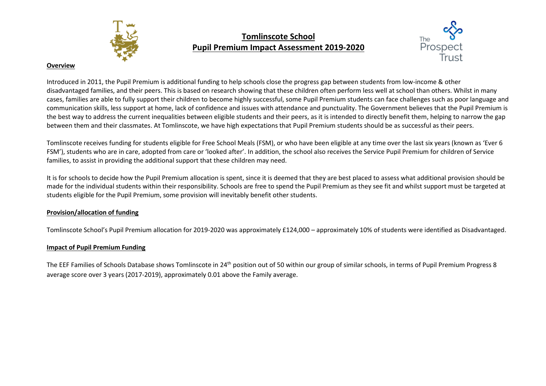

## **Tomlinscote School Pupil Premium Impact Assessment 2019-2020**



## **Overview**

Introduced in 2011, the Pupil Premium is additional funding to help schools close the progress gap between students from low-income & other disadvantaged families, and their peers. This is based on research showing that these children often perform less well at school than others. Whilst in many cases, families are able to fully support their children to become highly successful, some Pupil Premium students can face challenges such as poor language and communication skills, less support at home, lack of confidence and issues with attendance and punctuality. The Government believes that the Pupil Premium is the best way to address the current inequalities between eligible students and their peers, as it is intended to directly benefit them, helping to narrow the gap between them and their classmates. At Tomlinscote, we have high expectations that Pupil Premium students should be as successful as their peers.

Tomlinscote receives funding for students eligible for Free School Meals (FSM), or who have been eligible at any time over the last six years (known as 'Ever 6 FSM'), students who are in care, adopted from care or 'looked after'. In addition, the school also receives the Service Pupil Premium for children of Service families, to assist in providing the additional support that these children may need.

It is for schools to decide how the Pupil Premium allocation is spent, since it is deemed that they are best placed to assess what additional provision should be made for the individual students within their responsibility. Schools are free to spend the Pupil Premium as they see fit and whilst support must be targeted at students eligible for the Pupil Premium, some provision will inevitably benefit other students.

## **Provision/allocation of funding**

Tomlinscote School's Pupil Premium allocation for 2019-2020 was approximately £124,000 – approximately 10% of students were identified as Disadvantaged.

## **Impact of Pupil Premium Funding**

The EEF Families of Schools Database shows Tomlinscote in 24<sup>th</sup> position out of 50 within our group of similar schools, in terms of Pupil Premium Progress 8 average score over 3 years (2017-2019), approximately 0.01 above the Family average.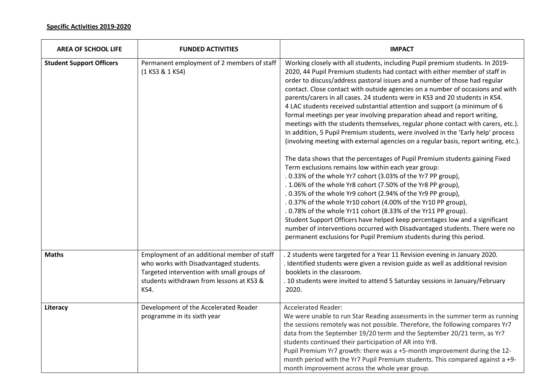| <b>AREA OF SCHOOL LIFE</b>      | <b>FUNDED ACTIVITIES</b>                                                                                                                                                                       | <b>IMPACT</b>                                                                                                                                                                                                                                                                                                                                                                                                                                                                                                                                                                                                                                                                                                                                                                                                                                                                                                                                                                                                                                                                                                                                                                                                                                                                                                                                                                                                                                                                                                                                   |
|---------------------------------|------------------------------------------------------------------------------------------------------------------------------------------------------------------------------------------------|-------------------------------------------------------------------------------------------------------------------------------------------------------------------------------------------------------------------------------------------------------------------------------------------------------------------------------------------------------------------------------------------------------------------------------------------------------------------------------------------------------------------------------------------------------------------------------------------------------------------------------------------------------------------------------------------------------------------------------------------------------------------------------------------------------------------------------------------------------------------------------------------------------------------------------------------------------------------------------------------------------------------------------------------------------------------------------------------------------------------------------------------------------------------------------------------------------------------------------------------------------------------------------------------------------------------------------------------------------------------------------------------------------------------------------------------------------------------------------------------------------------------------------------------------|
| <b>Student Support Officers</b> | Permanent employment of 2 members of staff<br>(1 KS3 & 1 KS4)                                                                                                                                  | Working closely with all students, including Pupil premium students. In 2019-<br>2020, 44 Pupil Premium students had contact with either member of staff in<br>order to discuss/address pastoral issues and a number of those had regular<br>contact. Close contact with outside agencies on a number of occasions and with<br>parents/carers in all cases. 24 students were in KS3 and 20 students in KS4.<br>4 LAC students received substantial attention and support (a minimum of 6<br>formal meetings per year involving preparation ahead and report writing,<br>meetings with the students themselves, regular phone contact with carers, etc.).<br>In addition, 5 Pupil Premium students, were involved in the 'Early help' process<br>(involving meeting with external agencies on a regular basis, report writing, etc.).<br>The data shows that the percentages of Pupil Premium students gaining Fixed<br>Term exclusions remains low within each year group:<br>.0.33% of the whole Yr7 cohort (3.03% of the Yr7 PP group),<br>. 1.06% of the whole Yr8 cohort (7.50% of the Yr8 PP group),<br>.0.35% of the whole Yr9 cohort (2.94% of the Yr9 PP group),<br>.0.37% of the whole Yr10 cohort (4.00% of the Yr10 PP group),<br>.0.78% of the whole Yr11 cohort (8.33% of the Yr11 PP group).<br>Student Support Officers have helped keep percentages low and a significant<br>number of interventions occurred with Disadvantaged students. There were no<br>permanent exclusions for Pupil Premium students during this period. |
| <b>Maths</b>                    | Employment of an additional member of staff<br>who works with Disadvantaged students.<br>Targeted intervention with small groups of<br>students withdrawn from lessons at KS3 &<br><b>KS4.</b> | 2 students were targeted for a Year 11 Revision evening in January 2020.<br>Identified students were given a revision guide as well as additional revision<br>booklets in the classroom.<br>. 10 students were invited to attend 5 Saturday sessions in January/February<br>2020.                                                                                                                                                                                                                                                                                                                                                                                                                                                                                                                                                                                                                                                                                                                                                                                                                                                                                                                                                                                                                                                                                                                                                                                                                                                               |
| Literacy                        | Development of the Accelerated Reader<br>programme in its sixth year                                                                                                                           | <b>Accelerated Reader:</b><br>We were unable to run Star Reading assessments in the summer term as running<br>the sessions remotely was not possible. Therefore, the following compares Yr7<br>data from the September 19/20 term and the September 20/21 term, as Yr7<br>students continued their participation of AR into Yr8.<br>Pupil Premium Yr7 growth: there was a +5-month improvement during the 12-<br>month period with the Yr7 Pupil Premium students. This compared against a +9-<br>month improvement across the whole year group.                                                                                                                                                                                                                                                                                                                                                                                                                                                                                                                                                                                                                                                                                                                                                                                                                                                                                                                                                                                                |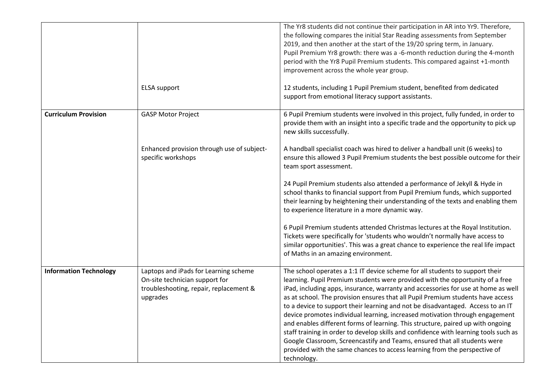|                               |                                                                                                                               | The Yr8 students did not continue their participation in AR into Yr9. Therefore,<br>the following compares the initial Star Reading assessments from September<br>2019, and then another at the start of the 19/20 spring term, in January.<br>Pupil Premium Yr8 growth: there was a -6-month reduction during the 4-month<br>period with the Yr8 Pupil Premium students. This compared against +1-month<br>improvement across the whole year group.                                                                                                                                                                                                                                                                                                                                                                                                         |
|-------------------------------|-------------------------------------------------------------------------------------------------------------------------------|--------------------------------------------------------------------------------------------------------------------------------------------------------------------------------------------------------------------------------------------------------------------------------------------------------------------------------------------------------------------------------------------------------------------------------------------------------------------------------------------------------------------------------------------------------------------------------------------------------------------------------------------------------------------------------------------------------------------------------------------------------------------------------------------------------------------------------------------------------------|
|                               | <b>ELSA</b> support                                                                                                           | 12 students, including 1 Pupil Premium student, benefited from dedicated<br>support from emotional literacy support assistants.                                                                                                                                                                                                                                                                                                                                                                                                                                                                                                                                                                                                                                                                                                                              |
| <b>Curriculum Provision</b>   | <b>GASP Motor Project</b>                                                                                                     | 6 Pupil Premium students were involved in this project, fully funded, in order to<br>provide them with an insight into a specific trade and the opportunity to pick up<br>new skills successfully.                                                                                                                                                                                                                                                                                                                                                                                                                                                                                                                                                                                                                                                           |
|                               | Enhanced provision through use of subject-<br>specific workshops                                                              | A handball specialist coach was hired to deliver a handball unit (6 weeks) to<br>ensure this allowed 3 Pupil Premium students the best possible outcome for their<br>team sport assessment.                                                                                                                                                                                                                                                                                                                                                                                                                                                                                                                                                                                                                                                                  |
|                               |                                                                                                                               | 24 Pupil Premium students also attended a performance of Jekyll & Hyde in<br>school thanks to financial support from Pupil Premium funds, which supported<br>their learning by heightening their understanding of the texts and enabling them<br>to experience literature in a more dynamic way.                                                                                                                                                                                                                                                                                                                                                                                                                                                                                                                                                             |
|                               |                                                                                                                               | 6 Pupil Premium students attended Christmas lectures at the Royal Institution.<br>Tickets were specifically for 'students who wouldn't normally have access to<br>similar opportunities'. This was a great chance to experience the real life impact<br>of Maths in an amazing environment.                                                                                                                                                                                                                                                                                                                                                                                                                                                                                                                                                                  |
| <b>Information Technology</b> | Laptops and iPads for Learning scheme<br>On-site technician support for<br>troubleshooting, repair, replacement &<br>upgrades | The school operates a 1:1 IT device scheme for all students to support their<br>learning. Pupil Premium students were provided with the opportunity of a free<br>iPad, including apps, insurance, warranty and accessories for use at home as well<br>as at school. The provision ensures that all Pupil Premium students have access<br>to a device to support their learning and not be disadvantaged. Access to an IT<br>device promotes individual learning, increased motivation through engagement<br>and enables different forms of learning. This structure, paired up with ongoing<br>staff training in order to develop skills and confidence with learning tools such as<br>Google Classroom, Screencastify and Teams, ensured that all students were<br>provided with the same chances to access learning from the perspective of<br>technology. |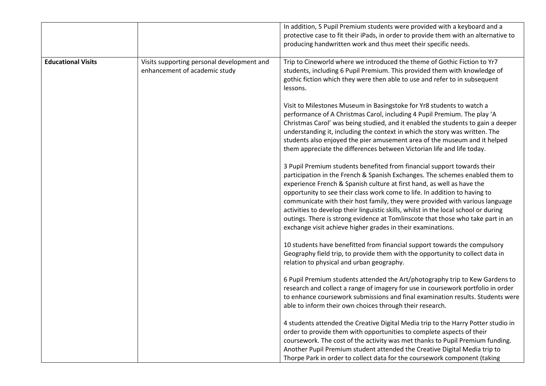|                           |                                                                             | In addition, 5 Pupil Premium students were provided with a keyboard and a<br>protective case to fit their iPads, in order to provide them with an alternative to<br>producing handwritten work and thus meet their specific needs.                                                                                                                                                                                                                                                                                                                                                                                                       |
|---------------------------|-----------------------------------------------------------------------------|------------------------------------------------------------------------------------------------------------------------------------------------------------------------------------------------------------------------------------------------------------------------------------------------------------------------------------------------------------------------------------------------------------------------------------------------------------------------------------------------------------------------------------------------------------------------------------------------------------------------------------------|
| <b>Educational Visits</b> | Visits supporting personal development and<br>enhancement of academic study | Trip to Cineworld where we introduced the theme of Gothic Fiction to Yr7<br>students, including 6 Pupil Premium. This provided them with knowledge of<br>gothic fiction which they were then able to use and refer to in subsequent<br>lessons.                                                                                                                                                                                                                                                                                                                                                                                          |
|                           |                                                                             | Visit to Milestones Museum in Basingstoke for Yr8 students to watch a<br>performance of A Christmas Carol, including 4 Pupil Premium. The play 'A<br>Christmas Carol' was being studied, and it enabled the students to gain a deeper<br>understanding it, including the context in which the story was written. The<br>students also enjoyed the pier amusement area of the museum and it helped<br>them appreciate the differences between Victorian life and life today.                                                                                                                                                              |
|                           |                                                                             | 3 Pupil Premium students benefited from financial support towards their<br>participation in the French & Spanish Exchanges. The schemes enabled them to<br>experience French & Spanish culture at first hand, as well as have the<br>opportunity to see their class work come to life. In addition to having to<br>communicate with their host family, they were provided with various language<br>activities to develop their linguistic skills, whilst in the local school or during<br>outings. There is strong evidence at Tomlinscote that those who take part in an<br>exchange visit achieve higher grades in their examinations. |
|                           |                                                                             | 10 students have benefitted from financial support towards the compulsory<br>Geography field trip, to provide them with the opportunity to collect data in<br>relation to physical and urban geography.                                                                                                                                                                                                                                                                                                                                                                                                                                  |
|                           |                                                                             | 6 Pupil Premium students attended the Art/photography trip to Kew Gardens to<br>research and collect a range of imagery for use in coursework portfolio in order<br>to enhance coursework submissions and final examination results. Students were<br>able to inform their own choices through their research.                                                                                                                                                                                                                                                                                                                           |
|                           |                                                                             | 4 students attended the Creative Digital Media trip to the Harry Potter studio in<br>order to provide them with opportunities to complete aspects of their<br>coursework. The cost of the activity was met thanks to Pupil Premium funding.<br>Another Pupil Premium student attended the Creative Digital Media trip to<br>Thorpe Park in order to collect data for the coursework component (taking                                                                                                                                                                                                                                    |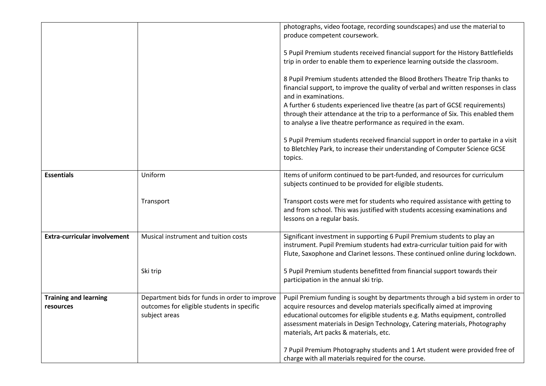|                                     |                                                             | photographs, video footage, recording soundscapes) and use the material to<br>produce competent coursework.                                                                                                                                                                    |
|-------------------------------------|-------------------------------------------------------------|--------------------------------------------------------------------------------------------------------------------------------------------------------------------------------------------------------------------------------------------------------------------------------|
|                                     |                                                             | 5 Pupil Premium students received financial support for the History Battlefields<br>trip in order to enable them to experience learning outside the classroom.                                                                                                                 |
|                                     |                                                             | 8 Pupil Premium students attended the Blood Brothers Theatre Trip thanks to<br>financial support, to improve the quality of verbal and written responses in class<br>and in examinations.                                                                                      |
|                                     |                                                             | A further 6 students experienced live theatre (as part of GCSE requirements)<br>through their attendance at the trip to a performance of Six. This enabled them<br>to analyse a live theatre performance as required in the exam.                                              |
|                                     |                                                             | 5 Pupil Premium students received financial support in order to partake in a visit<br>to Bletchley Park, to increase their understanding of Computer Science GCSE<br>topics.                                                                                                   |
| <b>Essentials</b>                   | Uniform                                                     | Items of uniform continued to be part-funded, and resources for curriculum<br>subjects continued to be provided for eligible students.                                                                                                                                         |
|                                     | Transport                                                   | Transport costs were met for students who required assistance with getting to<br>and from school. This was justified with students accessing examinations and<br>lessons on a regular basis.                                                                                   |
| <b>Extra-curricular involvement</b> | Musical instrument and tuition costs                        | Significant investment in supporting 6 Pupil Premium students to play an<br>instrument. Pupil Premium students had extra-curricular tuition paid for with<br>Flute, Saxophone and Clarinet lessons. These continued online during lockdown.                                    |
|                                     | Ski trip                                                    | 5 Pupil Premium students benefitted from financial support towards their<br>participation in the annual ski trip.                                                                                                                                                              |
| <b>Training and learning</b>        | Department bids for funds in order to improve               | Pupil Premium funding is sought by departments through a bid system in order to                                                                                                                                                                                                |
| resources                           | outcomes for eligible students in specific<br>subject areas | acquire resources and develop materials specifically aimed at improving<br>educational outcomes for eligible students e.g. Maths equipment, controlled<br>assessment materials in Design Technology, Catering materials, Photography<br>materials, Art packs & materials, etc. |
|                                     |                                                             | 7 Pupil Premium Photography students and 1 Art student were provided free of<br>charge with all materials required for the course.                                                                                                                                             |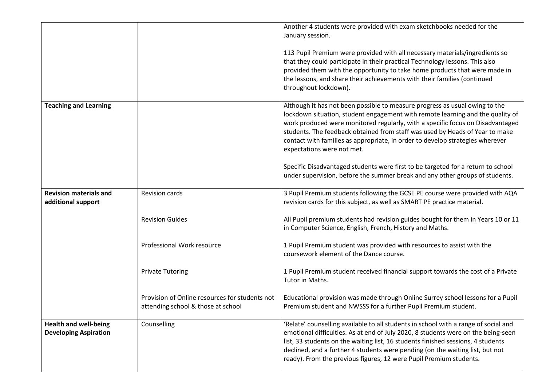|                                                              |                                                                                      | Another 4 students were provided with exam sketchbooks needed for the<br>January session.<br>113 Pupil Premium were provided with all necessary materials/ingredients so<br>that they could participate in their practical Technology lessons. This also<br>provided them with the opportunity to take home products that were made in<br>the lessons, and share their achievements with their families (continued<br>throughout lockdown).                                                                                                                                                                        |
|--------------------------------------------------------------|--------------------------------------------------------------------------------------|--------------------------------------------------------------------------------------------------------------------------------------------------------------------------------------------------------------------------------------------------------------------------------------------------------------------------------------------------------------------------------------------------------------------------------------------------------------------------------------------------------------------------------------------------------------------------------------------------------------------|
| <b>Teaching and Learning</b>                                 |                                                                                      | Although it has not been possible to measure progress as usual owing to the<br>lockdown situation, student engagement with remote learning and the quality of<br>work produced were monitored regularly, with a specific focus on Disadvantaged<br>students. The feedback obtained from staff was used by Heads of Year to make<br>contact with families as appropriate, in order to develop strategies wherever<br>expectations were not met.<br>Specific Disadvantaged students were first to be targeted for a return to school<br>under supervision, before the summer break and any other groups of students. |
| <b>Revision materials and</b><br>additional support          | <b>Revision cards</b><br><b>Revision Guides</b>                                      | 3 Pupil Premium students following the GCSE PE course were provided with AQA<br>revision cards for this subject, as well as SMART PE practice material.<br>All Pupil premium students had revision guides bought for them in Years 10 or 11<br>in Computer Science, English, French, History and Maths.                                                                                                                                                                                                                                                                                                            |
|                                                              | Professional Work resource                                                           | 1 Pupil Premium student was provided with resources to assist with the<br>coursework element of the Dance course.                                                                                                                                                                                                                                                                                                                                                                                                                                                                                                  |
|                                                              | <b>Private Tutoring</b>                                                              | 1 Pupil Premium student received financial support towards the cost of a Private<br>Tutor in Maths.                                                                                                                                                                                                                                                                                                                                                                                                                                                                                                                |
|                                                              | Provision of Online resources for students not<br>attending school & those at school | Educational provision was made through Online Surrey school lessons for a Pupil<br>Premium student and NWSSS for a further Pupil Premium student.                                                                                                                                                                                                                                                                                                                                                                                                                                                                  |
| <b>Health and well-being</b><br><b>Developing Aspiration</b> | Counselling                                                                          | 'Relate' counselling available to all students in school with a range of social and<br>emotional difficulties. As at end of July 2020, 8 students were on the being-seen<br>list, 33 students on the waiting list, 16 students finished sessions, 4 students<br>declined, and a further 4 students were pending (on the waiting list, but not<br>ready). From the previous figures, 12 were Pupil Premium students.                                                                                                                                                                                                |